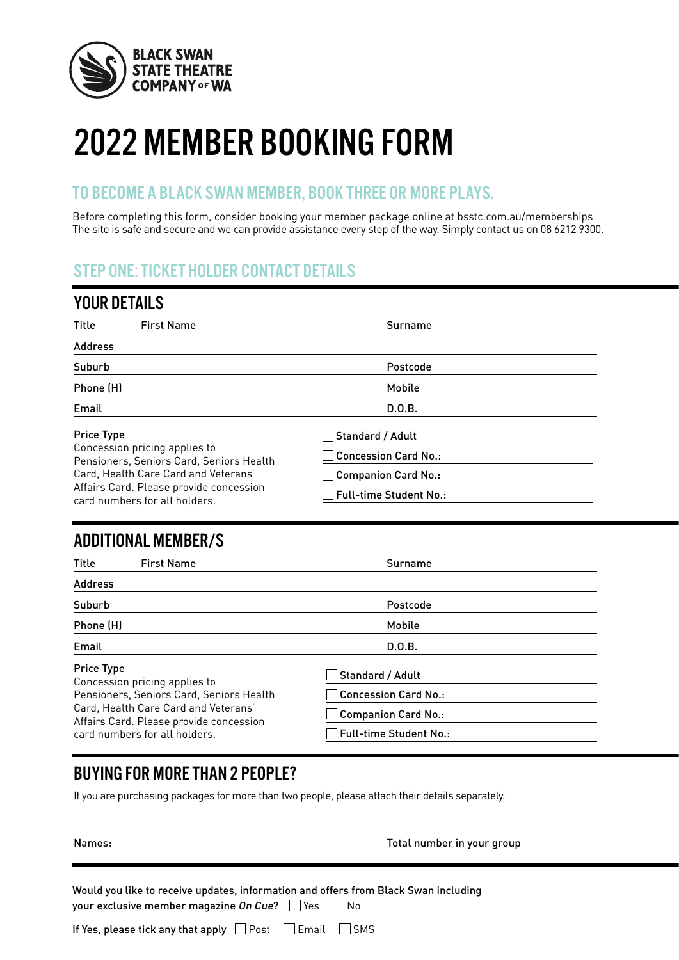

# 2022 MEMBER BOOKING FORM

#### TO BECOME A BLACK SWAN MEMBER, BOOK THREE OR MORE PLAYS.

Before completing this form, consider booking your member package online at bsstc.com.au/memberships The site is safe and secure and we can provide assistance every step of the way. Simply contact us on 08 6212 9300. ZUZZ MEMBER BUUKIN<br>TO BECOME A BLACK SWAN MEMBER, BOOK 1<br>Before completing this form, consider booking your mem<br>The site is safe and secure and we can provide assistance ev TO BECOME A BLACK SWAN MEMBER, BOOK THREE OR MORE Before completing this form, consider booking your member package online a The site is safe and secure and we can provide assistance every step of the way. Si

### STEP ONE: TICKET HOLDER CONTACT DETAILS

| <b>YOUR DETAILS</b>                                                       |                               |
|---------------------------------------------------------------------------|-------------------------------|
| <b>First Name</b><br>Title                                                | Surname                       |
| <b>Address</b>                                                            |                               |
| Suburb                                                                    | Postcode                      |
| Phone (H)                                                                 | Mobile                        |
| Email                                                                     | D.O.B.                        |
| <b>Price Type</b>                                                         | Standard / Adult              |
| Concession pricing applies to<br>Pensioners, Seniors Card, Seniors Health | $\Box$ Concession Card No.:   |
| Card, Health Care Card and Veterans'                                      | $\Box$ Companion Card No.:    |
| Affairs Card. Please provide concession<br>card numbers for all holders.  | $\Box$ Full-time Student No.: |

# **2 Aug** ADDITIONAL MEMBER/S

| Title<br><b>First Name</b>                                                                                                             | Surname                                              |
|----------------------------------------------------------------------------------------------------------------------------------------|------------------------------------------------------|
| <b>Address</b>                                                                                                                         |                                                      |
| Suburb                                                                                                                                 | Postcode                                             |
| Phone (H)                                                                                                                              | Mobile                                               |
| Email                                                                                                                                  | D.0.B.                                               |
| <b>Price Type</b><br>Concession pricing applies to<br>Pensioners, Seniors Card, Seniors Health<br>Card, Health Care Card and Veterans' | Standard / Adult<br>$\Box$ Concession Card No.:      |
| Affairs Card. Please provide concession<br>card numbers for all holders.                                                               | $\Box$ Companion Card No.:<br>Full-time Student No.: |

# BUYING FOR MORE THAN 2 PEOPLE?

**8 Nov**

If you are purchasing packages for more than two people, please attach their details separately.

**10 Nov**

|--|

**11 Nov 12 Nov** Names: Total number in your group

to receive updates, information and offers from Black Swan includi **2002** your exclusive member magazine On Cue?  $\Box$  Yes  $\Box$  No Would you like to receive updates, information and offers from Black Swan including **BUYING FOR MORE THAN 2 PEOPLE?**<br>
2022 If you are purchasing packages for more than two people, please attach their details separately.<br>
2022 Total number in your group<br>
2022 Total number in your group<br>
2022 Would you lik **Would you<br>your exclu<br>If Yes, plea BUYING FOR MORE THAN 2 PEOPLE?**<br>
2022 If you are purchasing packages for more than two people, please attach their details separately.<br>
2022 Total number in your group<br>
2022 Total number in your group<br>
2022 Would you lik

| If Yes, please tick any that apply □ Post □ Email □ SMS |  |  |  |
|---------------------------------------------------------|--|--|--|
|---------------------------------------------------------|--|--|--|

**9 Nov**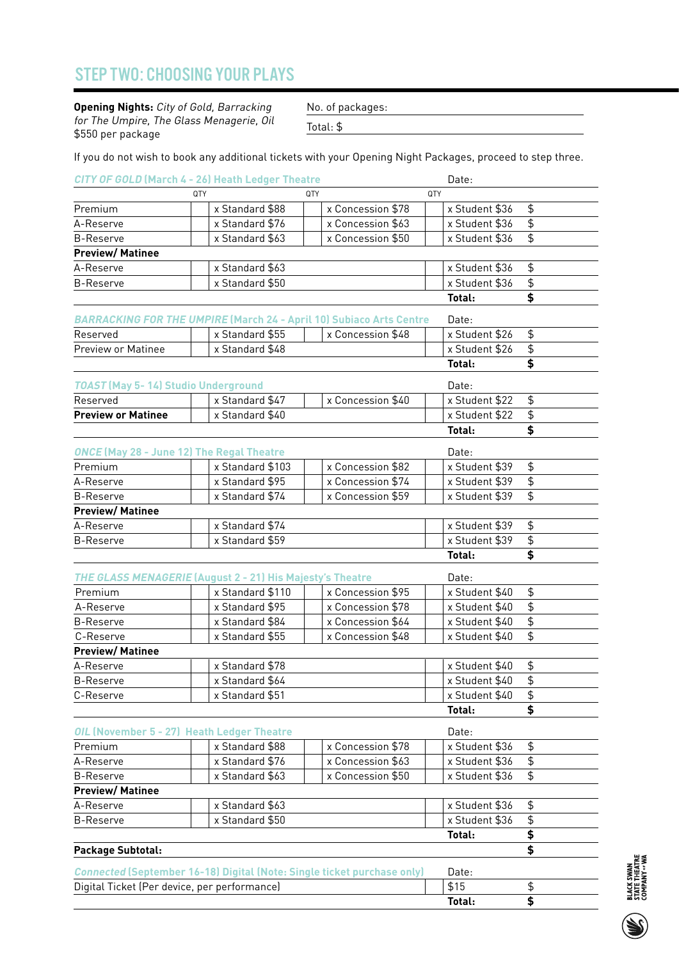# STEP TWO: CHOOSING YOUR PLAYS

| Ex Standard \$50                                                                                                                                 |  |
|--------------------------------------------------------------------------------------------------------------------------------------------------|--|
|                                                                                                                                                  |  |
|                                                                                                                                                  |  |
| Reserved<br>Reserved x Standard \$55 x Concession \$48<br>Preview or Matinee x Standard \$48                                                     |  |
|                                                                                                                                                  |  |
| TOAST (May 5- 14) Studio Underground Late:<br>Reserved x Standard \$47 x Concession \$40 x Stude:<br>Preview or Matinee x Standard \$40 x Stude: |  |
|                                                                                                                                                  |  |
|                                                                                                                                                  |  |
| x Standard \$103 x Concession \$82 x Student \$39 \$                                                                                             |  |
|                                                                                                                                                  |  |
|                                                                                                                                                  |  |
|                                                                                                                                                  |  |
|                                                                                                                                                  |  |
|                                                                                                                                                  |  |
|                                                                                                                                                  |  |
|                                                                                                                                                  |  |
|                                                                                                                                                  |  |
|                                                                                                                                                  |  |
|                                                                                                                                                  |  |
|                                                                                                                                                  |  |
|                                                                                                                                                  |  |
|                                                                                                                                                  |  |
|                                                                                                                                                  |  |
|                                                                                                                                                  |  |
|                                                                                                                                                  |  |
|                                                                                                                                                  |  |
| Package Subtotal:                                                                                                                                |  |
|                                                                                                                                                  |  |
|                                                                                                                                                  |  |
|                                                                                                                                                  |  |
|                                                                                                                                                  |  |
|                                                                                                                                                  |  |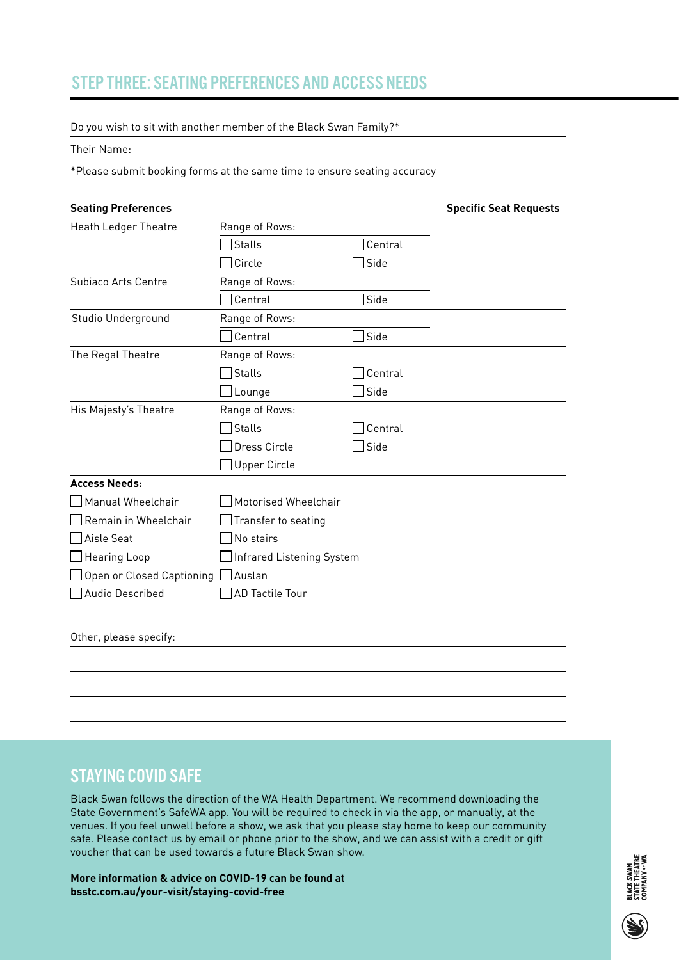# STEP THREE: SEATING PREFERENCES AND ACCESS NEEDS STEP THREE: SEATING PREFERENCES AND ACCESS NEEDS<br>Do you wish to sit with another member of the Black Swan Family?\*

Do you wish to sit with another member of the Black Swan Family?\*

| be you wish to sit with another member of the Black Swarn annity.                                                                                                                       |                                                    |  |  |  |  |  |  |  |  |  |  |
|-----------------------------------------------------------------------------------------------------------------------------------------------------------------------------------------|----------------------------------------------------|--|--|--|--|--|--|--|--|--|--|
|                                                                                                                                                                                         | Their Name:                                        |  |  |  |  |  |  |  |  |  |  |
| *Please submit booking forms at the same time to ensure seating accuracy                                                                                                                |                                                    |  |  |  |  |  |  |  |  |  |  |
| Specific Seat Requests                                                                                                                                                                  |                                                    |  |  |  |  |  |  |  |  |  |  |
| Range of Rows:                                                                                                                                                                          | <b>Seating Preferences</b><br>Heath Ledger Theatre |  |  |  |  |  |  |  |  |  |  |
| $\Box$ Central<br>$\Box$ Stalls                                                                                                                                                         |                                                    |  |  |  |  |  |  |  |  |  |  |
| $\Box$ Circle<br>$\Box$ Side                                                                                                                                                            |                                                    |  |  |  |  |  |  |  |  |  |  |
| Range of Rows:                                                                                                                                                                          | Subiaco Arts Centre                                |  |  |  |  |  |  |  |  |  |  |
| $\overline{\phantom{a}}$ , and the set of $\overline{\phantom{a}}$ , and the set of $\overline{\phantom{a}}$ , and the set of $\overline{\phantom{a}}$<br>$\Box$ Central<br>$\Box$ Side | <u> The Communication of the Communication</u>     |  |  |  |  |  |  |  |  |  |  |
| Range of Rows:                                                                                                                                                                          | Studio Underground                                 |  |  |  |  |  |  |  |  |  |  |
| $\Box$ Central<br>$\Box$ Side                                                                                                                                                           |                                                    |  |  |  |  |  |  |  |  |  |  |
| Range of Rows:                                                                                                                                                                          | The Regal Theatre                                  |  |  |  |  |  |  |  |  |  |  |
| Central<br>$\Box$ Stalls                                                                                                                                                                |                                                    |  |  |  |  |  |  |  |  |  |  |
| $\Box$ Side<br>Lounge                                                                                                                                                                   | His Majesty's Theatre                              |  |  |  |  |  |  |  |  |  |  |
| Range of Rows:                                                                                                                                                                          |                                                    |  |  |  |  |  |  |  |  |  |  |
| Central<br>$\Box$ Stalls<br>□ Dress Circle<br>Side                                                                                                                                      |                                                    |  |  |  |  |  |  |  |  |  |  |
| Upper Circle                                                                                                                                                                            |                                                    |  |  |  |  |  |  |  |  |  |  |
|                                                                                                                                                                                         | <b>Access Needs:</b>                               |  |  |  |  |  |  |  |  |  |  |
| Motorised Wheelchair                                                                                                                                                                    | Manual Wheelchair                                  |  |  |  |  |  |  |  |  |  |  |
| $\Box$ Transfer to seating                                                                                                                                                              | Remain in Wheelchair                               |  |  |  |  |  |  |  |  |  |  |
| No stairs                                                                                                                                                                               | Aisle Seat                                         |  |  |  |  |  |  |  |  |  |  |
| Infrared Listening System                                                                                                                                                               | □ Hearing Loop                                     |  |  |  |  |  |  |  |  |  |  |
|                                                                                                                                                                                         | □ Open or Closed Captioning □ Auslan               |  |  |  |  |  |  |  |  |  |  |
| AD Tactile Tour                                                                                                                                                                         | Audio Described                                    |  |  |  |  |  |  |  |  |  |  |
|                                                                                                                                                                                         |                                                    |  |  |  |  |  |  |  |  |  |  |
|                                                                                                                                                                                         | Other, please specify:                             |  |  |  |  |  |  |  |  |  |  |
|                                                                                                                                                                                         |                                                    |  |  |  |  |  |  |  |  |  |  |

#### STAYING COVID SAFE

Black Swan follows the direction of the WA Health Department. We recommend downloading the<br>
State Government's SafeWA app. You will be required to check in via the app, or manually, at the<br>
venues. If you feel unwell befor Black Swan follows the direction of the WA Health Department. We recommend downloading the State Government's SafeWA app. You will be required to check in via the app, or manually, at the venues. If you feel unwell before a show, we ask that you please stay home to keep our community safe. Please contact us by email or phone prior to the show, and we can assist with a credit or gift voucher that can be used towards a future Black Swan show. Black Swan follows the Department. We recommend the State Government. We recommend the WA Health Department. W<br>State Government. We recommend the WA Health Department. We recommend the WA Health Department. We recommend th STAYIN<br>State Government's State<br>State Government<br>State Government<br>State Check in via the app, or manually, at the app, or manually, at the app, or manually, at the app, or manually, at the app, or manually, at the app, or **STAYING COVID SAFE**<br>Black Swan follows the directi<br>State Government's SafeWA ap<br>venues. If you feel unwell before<br>safe. Please contact us by ema **STAYING COVID SA**<br>Black Swan follows the<br>State Government's Safe<br>venues. If you feel unwe<br>safe. Please contact us I<br>voucher that can be use

**More information & advice on COVID-19 can be found at bsstc.com.au/your-visit/staying-covid-free** <sup>27</sup> <sup>28</sup> 29 voucher that can be used towards a future Black Swan show.<br>
More information & advice on COVID-19 can be found at<br>
bsstc.com.au/your-visit/staying-covid-free<br>
a giga<br>
a giga<br>
a giga<br>
a giga<br>
a giga<br>
a giga<br>
a giga<br>
a giga<br>